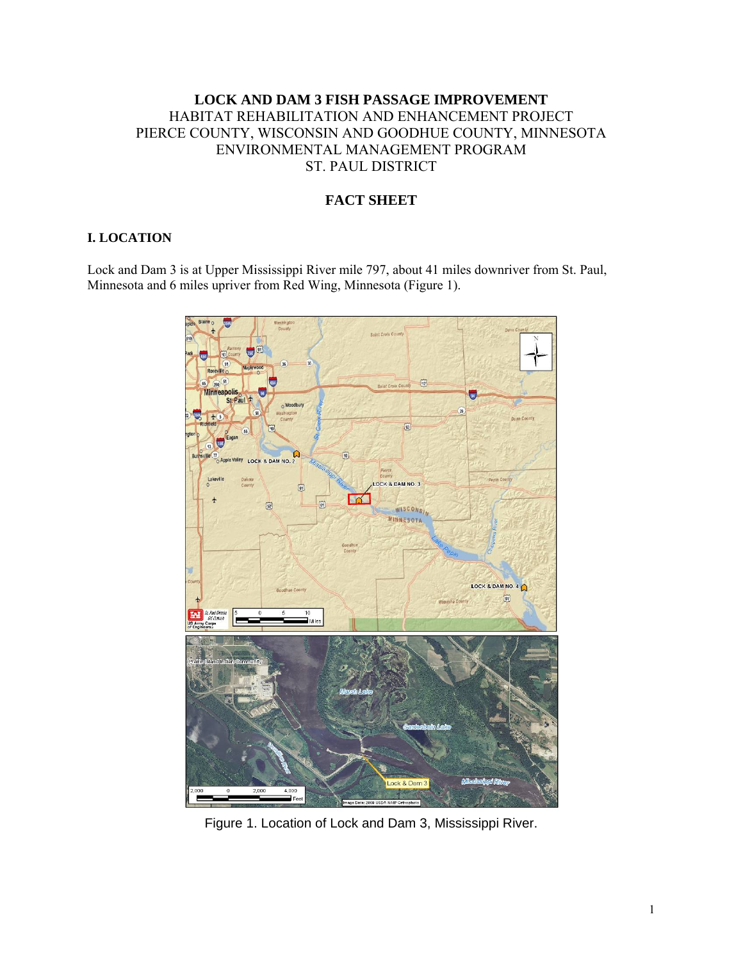# **LOCK AND DAM 3 FISH PASSAGE IMPROVEMENT**  HABITAT REHABILITATION AND ENHANCEMENT PROJECT PIERCE COUNTY, WISCONSIN AND GOODHUE COUNTY, MINNESOTA ENVIRONMENTAL MANAGEMENT PROGRAM ST. PAUL DISTRICT

# **FACT SHEET**

#### **I. LOCATION**

Lock and Dam 3 is at Upper Mississippi River mile 797, about 41 miles downriver from St. Paul, Minnesota and 6 miles upriver from Red Wing, Minnesota (Figure 1).



Figure 1. Location of Lock and Dam 3, Mississippi River.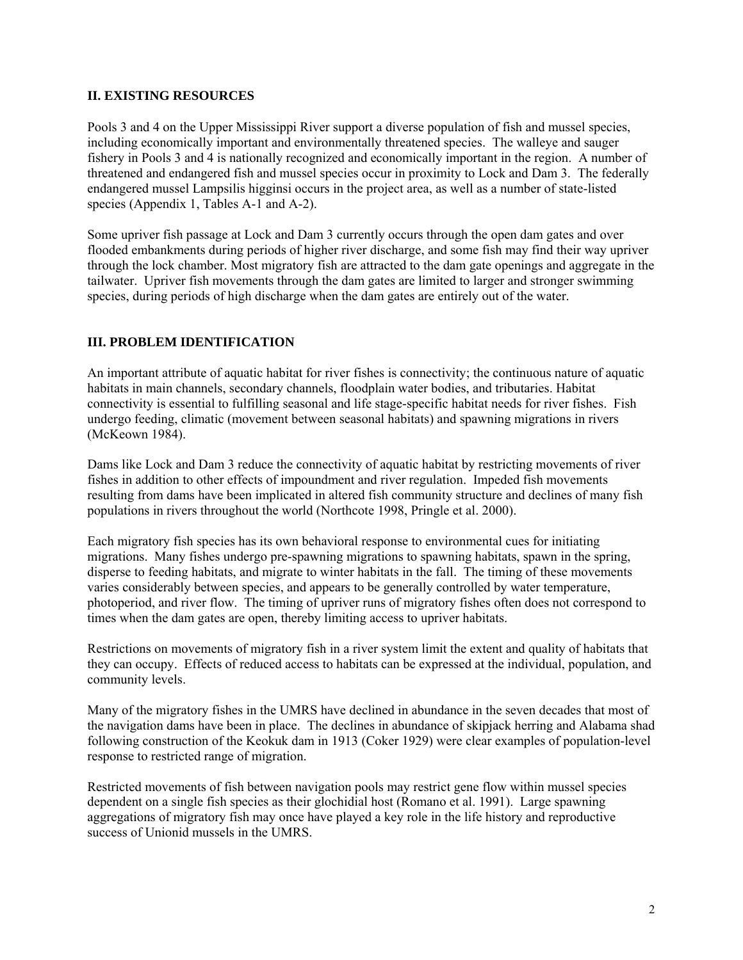#### **II. EXISTING RESOURCES**

Pools 3 and 4 on the Upper Mississippi River support a diverse population of fish and mussel species, including economically important and environmentally threatened species. The walleye and sauger fishery in Pools 3 and 4 is nationally recognized and economically important in the region. A number of threatened and endangered fish and mussel species occur in proximity to Lock and Dam 3. The federally endangered mussel Lampsilis higginsi occurs in the project area, as well as a number of state-listed species (Appendix 1, Tables A-1 and A-2).

Some upriver fish passage at Lock and Dam 3 currently occurs through the open dam gates and over flooded embankments during periods of higher river discharge, and some fish may find their way upriver through the lock chamber. Most migratory fish are attracted to the dam gate openings and aggregate in the tailwater. Upriver fish movements through the dam gates are limited to larger and stronger swimming species, during periods of high discharge when the dam gates are entirely out of the water.

## **III. PROBLEM IDENTIFICATION**

An important attribute of aquatic habitat for river fishes is connectivity; the continuous nature of aquatic habitats in main channels, secondary channels, floodplain water bodies, and tributaries. Habitat connectivity is essential to fulfilling seasonal and life stage-specific habitat needs for river fishes. Fish undergo feeding, climatic (movement between seasonal habitats) and spawning migrations in rivers (McKeown 1984).

Dams like Lock and Dam 3 reduce the connectivity of aquatic habitat by restricting movements of river fishes in addition to other effects of impoundment and river regulation. Impeded fish movements resulting from dams have been implicated in altered fish community structure and declines of many fish populations in rivers throughout the world (Northcote 1998, Pringle et al. 2000).

Each migratory fish species has its own behavioral response to environmental cues for initiating migrations. Many fishes undergo pre-spawning migrations to spawning habitats, spawn in the spring, disperse to feeding habitats, and migrate to winter habitats in the fall. The timing of these movements varies considerably between species, and appears to be generally controlled by water temperature, photoperiod, and river flow. The timing of upriver runs of migratory fishes often does not correspond to times when the dam gates are open, thereby limiting access to upriver habitats.

Restrictions on movements of migratory fish in a river system limit the extent and quality of habitats that they can occupy. Effects of reduced access to habitats can be expressed at the individual, population, and community levels.

Many of the migratory fishes in the UMRS have declined in abundance in the seven decades that most of the navigation dams have been in place. The declines in abundance of skipjack herring and Alabama shad following construction of the Keokuk dam in 1913 (Coker 1929) were clear examples of population-level response to restricted range of migration.

Restricted movements of fish between navigation pools may restrict gene flow within mussel species dependent on a single fish species as their glochidial host (Romano et al. 1991). Large spawning aggregations of migratory fish may once have played a key role in the life history and reproductive success of Unionid mussels in the UMRS.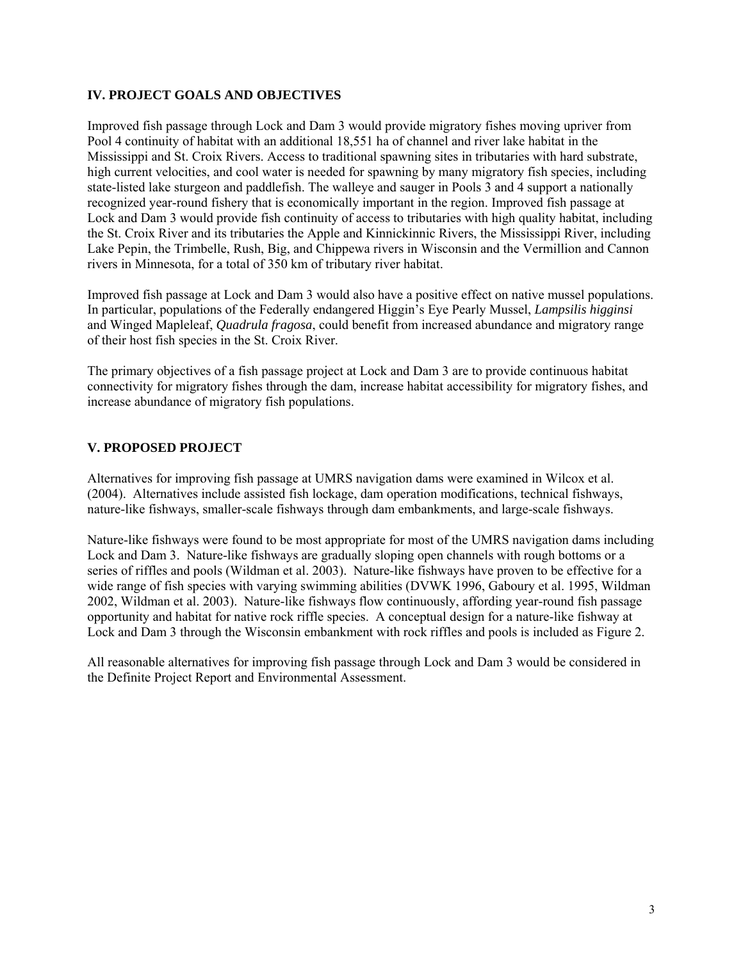## **IV. PROJECT GOALS AND OBJECTIVES**

Improved fish passage through Lock and Dam 3 would provide migratory fishes moving upriver from Pool 4 continuity of habitat with an additional 18,551 ha of channel and river lake habitat in the Mississippi and St. Croix Rivers. Access to traditional spawning sites in tributaries with hard substrate, high current velocities, and cool water is needed for spawning by many migratory fish species, including state-listed lake sturgeon and paddlefish. The walleye and sauger in Pools 3 and 4 support a nationally recognized year-round fishery that is economically important in the region. Improved fish passage at Lock and Dam 3 would provide fish continuity of access to tributaries with high quality habitat, including the St. Croix River and its tributaries the Apple and Kinnickinnic Rivers, the Mississippi River, including Lake Pepin, the Trimbelle, Rush, Big, and Chippewa rivers in Wisconsin and the Vermillion and Cannon rivers in Minnesota, for a total of 350 km of tributary river habitat.

Improved fish passage at Lock and Dam 3 would also have a positive effect on native mussel populations. In particular, populations of the Federally endangered Higgin's Eye Pearly Mussel, *Lampsilis higginsi*  and Winged Mapleleaf, *Quadrula fragosa*, could benefit from increased abundance and migratory range of their host fish species in the St. Croix River.

The primary objectives of a fish passage project at Lock and Dam 3 are to provide continuous habitat connectivity for migratory fishes through the dam, increase habitat accessibility for migratory fishes, and increase abundance of migratory fish populations.

## **V. PROPOSED PROJECT**

Alternatives for improving fish passage at UMRS navigation dams were examined in Wilcox et al. (2004). Alternatives include assisted fish lockage, dam operation modifications, technical fishways, nature-like fishways, smaller-scale fishways through dam embankments, and large-scale fishways.

Nature-like fishways were found to be most appropriate for most of the UMRS navigation dams including Lock and Dam 3. Nature-like fishways are gradually sloping open channels with rough bottoms or a series of riffles and pools (Wildman et al. 2003). Nature-like fishways have proven to be effective for a wide range of fish species with varying swimming abilities (DVWK 1996, Gaboury et al. 1995, Wildman 2002, Wildman et al. 2003). Nature-like fishways flow continuously, affording year-round fish passage opportunity and habitat for native rock riffle species. A conceptual design for a nature-like fishway at Lock and Dam 3 through the Wisconsin embankment with rock riffles and pools is included as Figure 2.

All reasonable alternatives for improving fish passage through Lock and Dam 3 would be considered in the Definite Project Report and Environmental Assessment.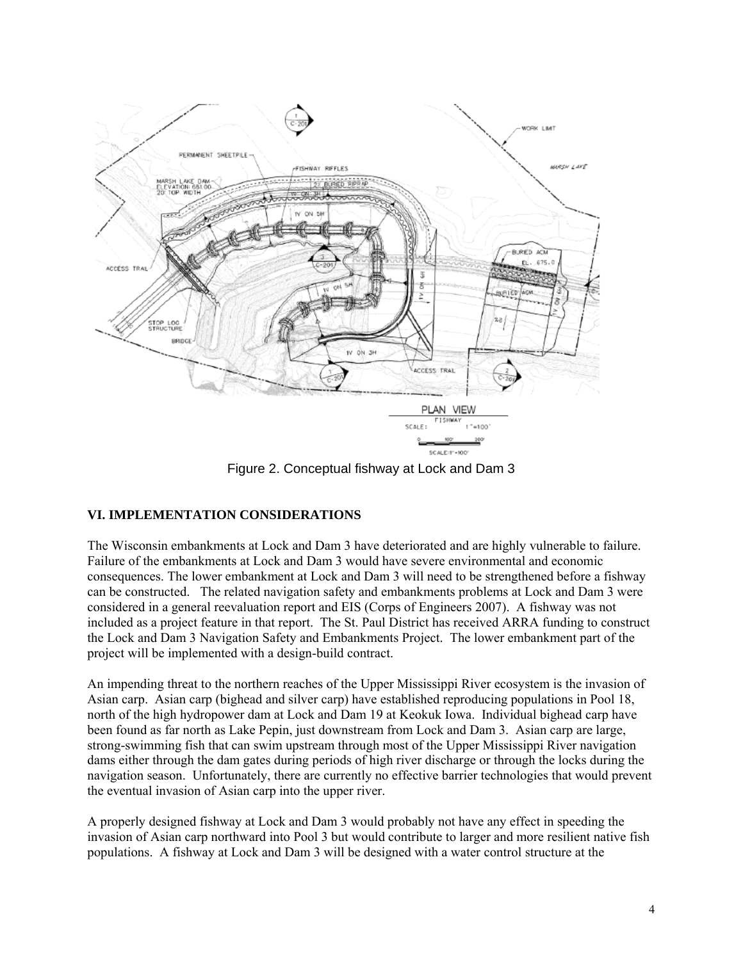

Figure 2. Conceptual fishway at Lock and Dam 3

# **VI. IMPLEMENTATION CONSIDERATIONS**

The Wisconsin embankments at Lock and Dam 3 have deteriorated and are highly vulnerable to failure. Failure of the embankments at Lock and Dam 3 would have severe environmental and economic consequences. The lower embankment at Lock and Dam 3 will need to be strengthened before a fishway can be constructed. The related navigation safety and embankments problems at Lock and Dam 3 were considered in a general reevaluation report and EIS (Corps of Engineers 2007). A fishway was not included as a project feature in that report. The St. Paul District has received ARRA funding to construct the Lock and Dam 3 Navigation Safety and Embankments Project. The lower embankment part of the project will be implemented with a design-build contract.

An impending threat to the northern reaches of the Upper Mississippi River ecosystem is the invasion of Asian carp. Asian carp (bighead and silver carp) have established reproducing populations in Pool 18, north of the high hydropower dam at Lock and Dam 19 at Keokuk Iowa. Individual bighead carp have been found as far north as Lake Pepin, just downstream from Lock and Dam 3. Asian carp are large, strong-swimming fish that can swim upstream through most of the Upper Mississippi River navigation dams either through the dam gates during periods of high river discharge or through the locks during the navigation season. Unfortunately, there are currently no effective barrier technologies that would prevent the eventual invasion of Asian carp into the upper river.

A properly designed fishway at Lock and Dam 3 would probably not have any effect in speeding the invasion of Asian carp northward into Pool 3 but would contribute to larger and more resilient native fish populations. A fishway at Lock and Dam 3 will be designed with a water control structure at the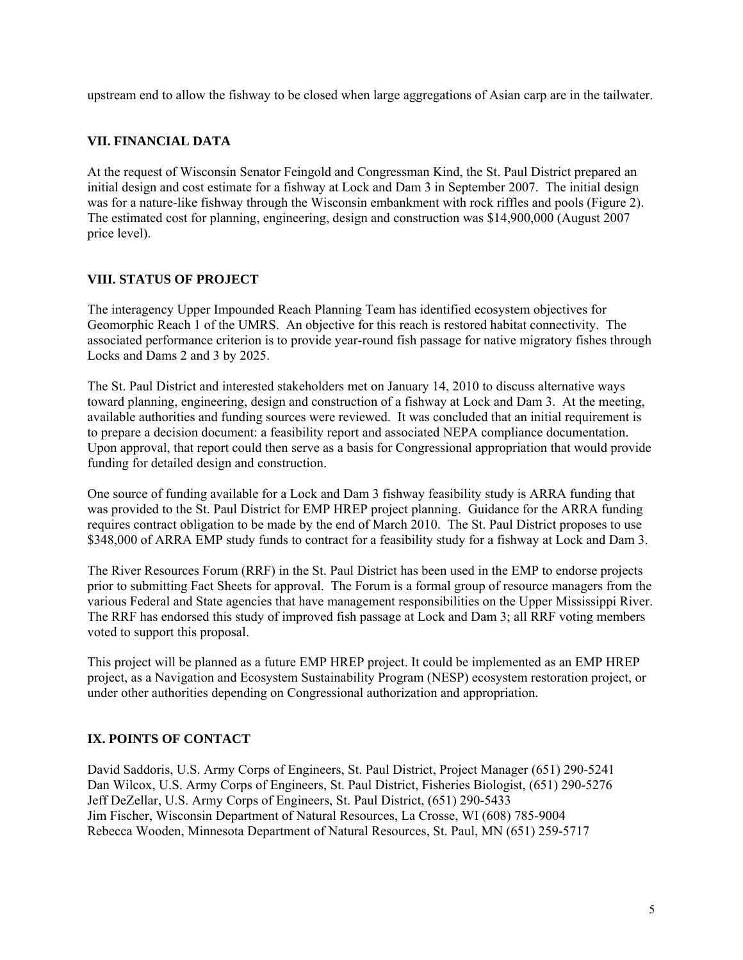upstream end to allow the fishway to be closed when large aggregations of Asian carp are in the tailwater.

## **VII. FINANCIAL DATA**

At the request of Wisconsin Senator Feingold and Congressman Kind, the St. Paul District prepared an initial design and cost estimate for a fishway at Lock and Dam 3 in September 2007. The initial design was for a nature-like fishway through the Wisconsin embankment with rock riffles and pools (Figure 2). The estimated cost for planning, engineering, design and construction was \$14,900,000 (August 2007 price level).

## **VIII. STATUS OF PROJECT**

The interagency Upper Impounded Reach Planning Team has identified ecosystem objectives for Geomorphic Reach 1 of the UMRS. An objective for this reach is restored habitat connectivity. The associated performance criterion is to provide year-round fish passage for native migratory fishes through Locks and Dams 2 and 3 by 2025.

The St. Paul District and interested stakeholders met on January 14, 2010 to discuss alternative ways toward planning, engineering, design and construction of a fishway at Lock and Dam 3. At the meeting, available authorities and funding sources were reviewed. It was concluded that an initial requirement is to prepare a decision document: a feasibility report and associated NEPA compliance documentation. Upon approval, that report could then serve as a basis for Congressional appropriation that would provide funding for detailed design and construction.

One source of funding available for a Lock and Dam 3 fishway feasibility study is ARRA funding that was provided to the St. Paul District for EMP HREP project planning. Guidance for the ARRA funding requires contract obligation to be made by the end of March 2010. The St. Paul District proposes to use \$348,000 of ARRA EMP study funds to contract for a feasibility study for a fishway at Lock and Dam 3.

The River Resources Forum (RRF) in the St. Paul District has been used in the EMP to endorse projects prior to submitting Fact Sheets for approval. The Forum is a formal group of resource managers from the various Federal and State agencies that have management responsibilities on the Upper Mississippi River. The RRF has endorsed this study of improved fish passage at Lock and Dam 3; all RRF voting members voted to support this proposal.

This project will be planned as a future EMP HREP project. It could be implemented as an EMP HREP project, as a Navigation and Ecosystem Sustainability Program (NESP) ecosystem restoration project, or under other authorities depending on Congressional authorization and appropriation.

# **IX. POINTS OF CONTACT**

David Saddoris, U.S. Army Corps of Engineers, St. Paul District, Project Manager (651) 290-5241 Dan Wilcox, U.S. Army Corps of Engineers, St. Paul District, Fisheries Biologist, (651) 290-5276 Jeff DeZellar, U.S. Army Corps of Engineers, St. Paul District, (651) 290-5433 Jim Fischer, Wisconsin Department of Natural Resources, La Crosse, WI (608) 785-9004 Rebecca Wooden, Minnesota Department of Natural Resources, St. Paul, MN (651) 259-5717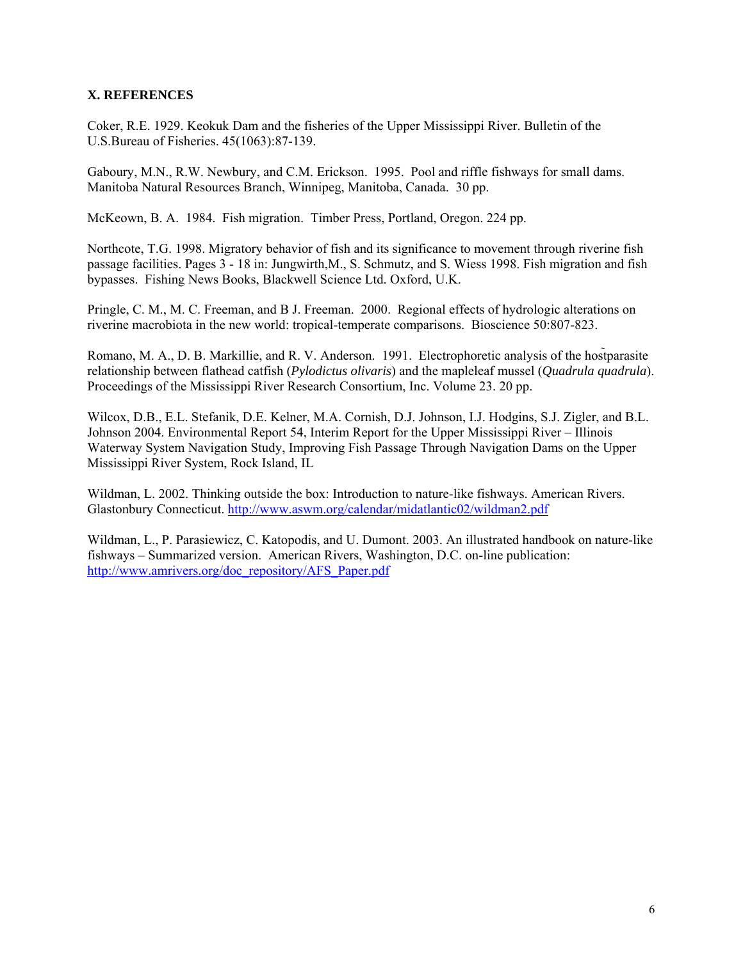#### **X. REFERENCES**

Coker, R.E. 1929. Keokuk Dam and the fisheries of the Upper Mississippi River. Bulletin of the U.S.Bureau of Fisheries. 45(1063):87-139.

Gaboury, M.N., R.W. Newbury, and C.M. Erickson. 1995. Pool and riffle fishways for small dams. Manitoba Natural Resources Branch, Winnipeg, Manitoba, Canada. 30 pp.

McKeown, B. A. 1984. Fish migration. Timber Press, Portland, Oregon. 224 pp.

Northcote, T.G. 1998. Migratory behavior of fish and its significance to movement through riverine fish passage facilities. Pages 3 - 18 in: Jungwirth,M., S. Schmutz, and S. Wiess 1998. Fish migration and fish bypasses. Fishing News Books, Blackwell Science Ltd. Oxford, U.K.

Pringle, C. M., M. C. Freeman, and B J. Freeman. 2000. Regional effects of hydrologic alterations on riverine macrobiota in the new world: tropical-temperate comparisons. Bioscience 50:807-823.

Romano, M. A., D. B. Markillie, and R. V. Anderson. 1991. Electrophoretic analysis of the hostparasite relationship between flathead catfish (*Pylodictus olivaris*) and the mapleleaf mussel (*Quadrula quadrula*). Proceedings of the Mississippi River Research Consortium, Inc. Volume 23. 20 pp.

Wilcox, D.B., E.L. Stefanik, D.E. Kelner, M.A. Cornish, D.J. Johnson, I.J. Hodgins, S.J. Zigler, and B.L. Johnson 2004. Environmental Report 54, Interim Report for the Upper Mississippi River – Illinois Waterway System Navigation Study, Improving Fish Passage Through Navigation Dams on the Upper Mississippi River System, Rock Island, IL

Wildman, L. 2002. Thinking outside the box: Introduction to nature-like fishways. American Rivers. Glastonbury Connecticut. http://www.aswm.org/calendar/midatlantic02/wildman2.pdf

Wildman, L., P. Parasiewicz, C. Katopodis, and U. Dumont. 2003. An illustrated handbook on nature-like fishways – Summarized version. American Rivers, Washington, D.C. on-line publication: http://www.amrivers.org/doc\_repository/AFS\_Paper.pdf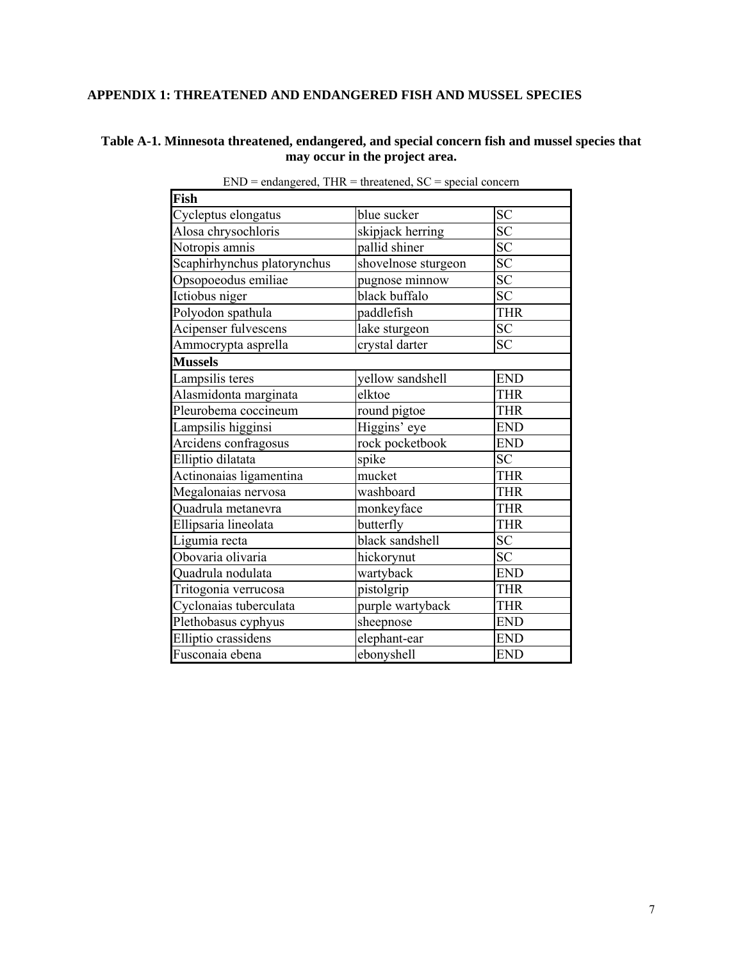# **APPENDIX 1: THREATENED AND ENDANGERED FISH AND MUSSEL SPECIES**

## **Table A-1. Minnesota threatened, endangered, and special concern fish and mussel species that may occur in the project area.**

| Fish                        |                     |            |
|-----------------------------|---------------------|------------|
| Cycleptus elongatus         | blue sucker         | <b>SC</b>  |
| Alosa chrysochloris         | skipjack herring    | <b>SC</b>  |
| Notropis amnis              | pallid shiner       | SC         |
| Scaphirhynchus platorynchus | shovelnose sturgeon | SC         |
| Opsopoeodus emiliae         | pugnose minnow      | SC         |
| Ictiobus niger              | black buffalo       | <b>SC</b>  |
| Polyodon spathula           | paddlefish          | <b>THR</b> |
| Acipenser fulvescens        | lake sturgeon       | <b>SC</b>  |
| Ammocrypta asprella         | crystal darter      | <b>SC</b>  |
| <b>Mussels</b>              |                     |            |
| Lampsilis teres             | yellow sandshell    | <b>END</b> |
| Alasmidonta marginata       | elktoe              | <b>THR</b> |
| Pleurobema coccineum        | round pigtoe        | <b>THR</b> |
| Lampsilis higginsi          | Higgins' eye        | <b>END</b> |
| Arcidens confragosus        | rock pocketbook     | <b>END</b> |
| Elliptio dilatata           | spike               | <b>SC</b>  |
| Actinonaias ligamentina     | mucket              | <b>THR</b> |
| Megalonaias nervosa         | washboard           | <b>THR</b> |
| Ouadrula metanevra          | monkeyface          | <b>THR</b> |
| Ellipsaria lineolata        | butterfly           | <b>THR</b> |
| Ligumia recta               | black sandshell     | <b>SC</b>  |
| Obovaria olivaria           | hickorynut          | <b>SC</b>  |
| Quadrula nodulata           | wartyback           | <b>END</b> |
| Tritogonia verrucosa        | pistolgrip          | <b>THR</b> |
| Cyclonaias tuberculata      | purple wartyback    | <b>THR</b> |
| Plethobasus cyphyus         | sheepnose           | <b>END</b> |
| Elliptio crassidens         | elephant-ear        | <b>END</b> |
| Fusconaia ebena             | ebonyshell          | <b>END</b> |

 $END =$  endangered,  $THR =$  threatened,  $SC =$  special concern